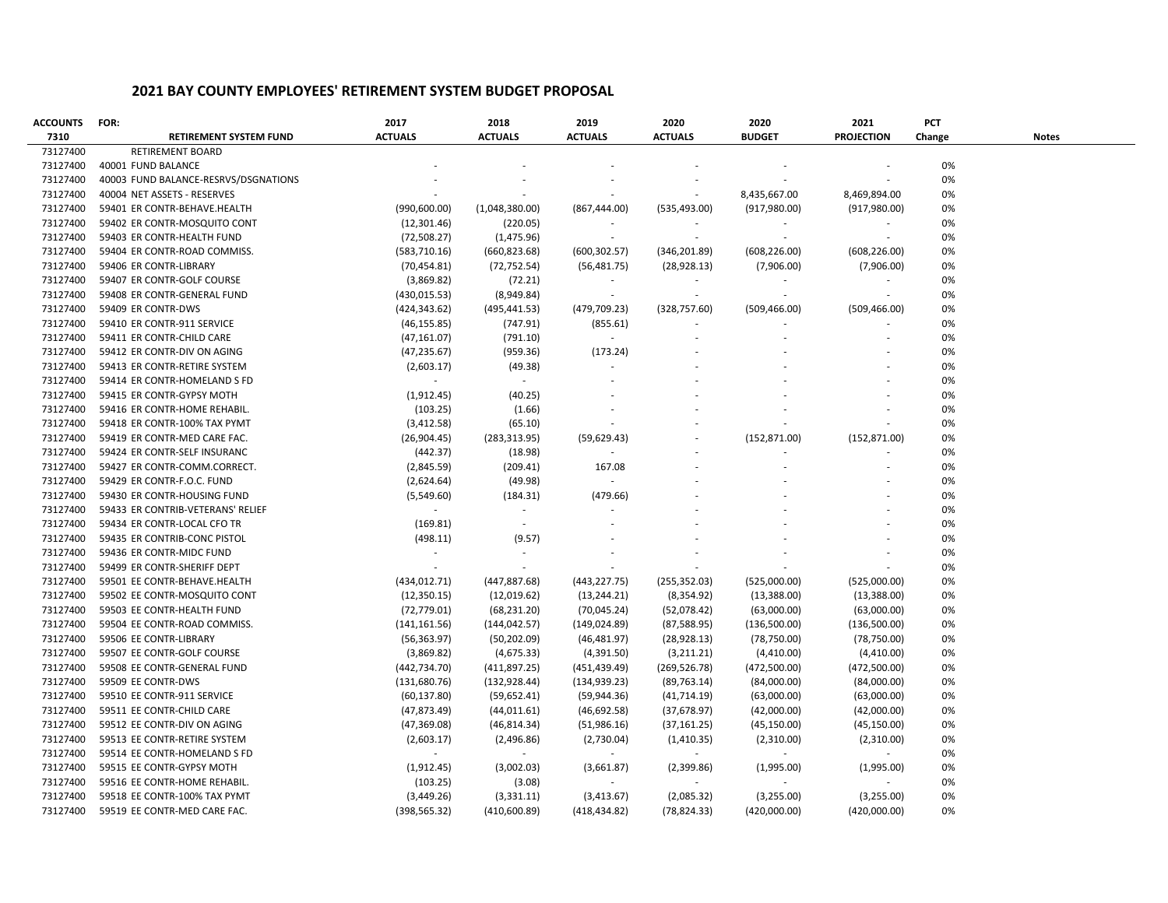| <b>ACCOUNTS</b> | FOR:                                 | 2017           | 2018           | 2019           | 2020                     | 2020          | 2021              | PCT    |       |
|-----------------|--------------------------------------|----------------|----------------|----------------|--------------------------|---------------|-------------------|--------|-------|
| 7310            | <b>RETIREMENT SYSTEM FUND</b>        | <b>ACTUALS</b> | <b>ACTUALS</b> | <b>ACTUALS</b> | <b>ACTUALS</b>           | <b>BUDGET</b> | <b>PROJECTION</b> | Change | Notes |
| 73127400        | RETIREMENT BOARD                     |                |                |                |                          |               |                   |        |       |
| 73127400        | 40001 FUND BALANCE                   |                |                |                |                          |               |                   | 0%     |       |
| 73127400        | 40003 FUND BALANCE-RESRVS/DSGNATIONS |                |                |                |                          |               |                   | 0%     |       |
| 73127400        | 40004 NET ASSETS - RESERVES          |                |                |                |                          | 8,435,667.00  | 8,469,894.00      | 0%     |       |
| 73127400        | 59401 ER CONTR-BEHAVE.HEALTH         | (990,600.00)   | (1,048,380.00) | (867, 444.00)  | (535, 493.00)            | (917, 980.00) | (917, 980.00)     | 0%     |       |
| 73127400        | 59402 ER CONTR-MOSQUITO CONT         | (12,301.46)    | (220.05)       |                |                          |               |                   | 0%     |       |
| 73127400        | 59403 ER CONTR-HEALTH FUND           | (72,508.27)    | (1,475.96)     |                |                          |               |                   | 0%     |       |
| 73127400        | 59404 ER CONTR-ROAD COMMISS.         | (583, 710.16)  | (660, 823.68)  | (600, 302.57)  | (346, 201.89)            | (608, 226.00) | (608, 226.00)     | 0%     |       |
| 73127400        | 59406 ER CONTR-LIBRARY               | (70, 454.81)   | (72, 752.54)   | (56, 481.75)   | (28, 928.13)             | (7,906.00)    | (7,906.00)        | 0%     |       |
| 73127400        | 59407 ER CONTR-GOLF COURSE           | (3,869.82)     | (72.21)        | $\sim$         | $\sim$                   | $\sim$        |                   | 0%     |       |
| 73127400        | 59408 ER CONTR-GENERAL FUND          | (430, 015.53)  | (8,949.84)     | $\sim$         | $\overline{\phantom{a}}$ |               | $\sim$            | 0%     |       |
| 73127400        | 59409 ER CONTR-DWS                   | (424, 343.62)  | (495, 441.53)  | (479, 709.23)  | (328, 757.60)            | (509, 466.00) | (509, 466.00)     | 0%     |       |
| 73127400        | 59410 ER CONTR-911 SERVICE           | (46, 155.85)   | (747.91)       | (855.61)       |                          |               |                   | 0%     |       |
| 73127400        | 59411 ER CONTR-CHILD CARE            | (47, 161.07)   | (791.10)       | $\sim$         |                          |               |                   | 0%     |       |
| 73127400        | 59412 ER CONTR-DIV ON AGING          | (47, 235.67)   | (959.36)       | (173.24)       |                          |               |                   | 0%     |       |
| 73127400        | 59413 ER CONTR-RETIRE SYSTEM         | (2,603.17)     | (49.38)        |                |                          |               |                   | 0%     |       |
| 73127400        | 59414 ER CONTR-HOMELAND S FD         | $\sim$         | $\sim$         |                |                          |               |                   | 0%     |       |
| 73127400        | 59415 ER CONTR-GYPSY MOTH            | (1,912.45)     | (40.25)        |                |                          |               |                   | 0%     |       |
| 73127400        | 59416 ER CONTR-HOME REHABIL.         | (103.25)       | (1.66)         |                |                          |               |                   | 0%     |       |
| 73127400        | 59418 ER CONTR-100% TAX PYMT         | (3,412.58)     | (65.10)        |                |                          |               |                   | 0%     |       |
| 73127400        | 59419 ER CONTR-MED CARE FAC.         | (26,904.45)    | (283, 313.95)  | (59,629.43)    |                          | (152, 871.00) | (152, 871.00)     | 0%     |       |
| 73127400        | 59424 ER CONTR-SELF INSURANC         | (442.37)       | (18.98)        |                |                          |               |                   | 0%     |       |
| 73127400        | 59427 ER CONTR-COMM.CORRECT.         | (2,845.59)     | (209.41)       | 167.08         |                          |               |                   | 0%     |       |
| 73127400        | 59429 ER CONTR-F.O.C. FUND           | (2,624.64)     | (49.98)        |                |                          |               |                   | 0%     |       |
| 73127400        | 59430 ER CONTR-HOUSING FUND          | (5,549.60)     | (184.31)       | (479.66)       |                          |               |                   | 0%     |       |
| 73127400        | 59433 ER CONTRIB-VETERANS' RELIEF    | $\sim 100$     | $\sim$         |                |                          |               |                   | 0%     |       |
| 73127400        | 59434 ER CONTR-LOCAL CFO TR          | (169.81)       |                |                |                          |               |                   | 0%     |       |
| 73127400        | 59435 ER CONTRIB-CONC PISTOL         | (498.11)       | (9.57)         |                |                          |               |                   | 0%     |       |
| 73127400        | 59436 ER CONTR-MIDC FUND             | $\sim$         | $\sim$         |                |                          |               |                   | 0%     |       |
| 73127400        | 59499 ER CONTR-SHERIFF DEPT          | $\sim$         |                |                |                          |               |                   | 0%     |       |
| 73127400        | 59501 EE CONTR-BEHAVE.HEALTH         | (434, 012.71)  | (447, 887.68)  | (443, 227.75)  | (255, 352.03)            | (525,000.00)  | (525,000.00)      | 0%     |       |
| 73127400        | 59502 EE CONTR-MOSQUITO CONT         | (12, 350.15)   | (12,019.62)    | (13, 244.21)   | (8, 354.92)              | (13, 388.00)  | (13, 388.00)      | 0%     |       |
| 73127400        | 59503 EE CONTR-HEALTH FUND           | (72, 779.01)   | (68, 231.20)   | (70,045.24)    | (52,078.42)              | (63,000.00)   | (63,000.00)       | 0%     |       |
| 73127400        | 59504 EE CONTR-ROAD COMMISS.         | (141, 161.56)  | (144, 042.57)  | (149, 024.89)  | (87,588.95)              | (136,500.00)  | (136,500.00)      | 0%     |       |
| 73127400        | 59506 EE CONTR-LIBRARY               | (56, 363.97)   | (50, 202.09)   | (46, 481.97)   | (28, 928.13)             | (78, 750.00)  | (78, 750.00)      | 0%     |       |
| 73127400        | 59507 EE CONTR-GOLF COURSE           | (3,869.82)     | (4,675.33)     | (4,391.50)     | (3,211.21)               | (4,410.00)    | (4,410.00)        | 0%     |       |
| 73127400        | 59508 EE CONTR-GENERAL FUND          | (442, 734.70)  | (411,897.25)   | (451, 439.49)  | (269, 526.78)            | (472,500.00)  | (472,500.00)      | 0%     |       |
| 73127400        | 59509 EE CONTR-DWS                   | (131,680.76)   | (132, 928.44)  | (134, 939.23)  | (89, 763.14)             | (84,000.00)   | (84,000.00)       | 0%     |       |
| 73127400        | 59510 EE CONTR-911 SERVICE           | (60, 137.80)   | (59,652.41)    | (59, 944.36)   | (41, 714.19)             | (63,000.00)   | (63,000.00)       | 0%     |       |
| 73127400        | 59511 EE CONTR-CHILD CARE            | (47,873.49)    | (44, 011.61)   | (46,692.58)    | (37, 678.97)             | (42,000.00)   | (42,000.00)       | 0%     |       |
| 73127400        | 59512 EE CONTR-DIV ON AGING          | (47,369.08)    | (46, 814.34)   | (51,986.16)    | (37, 161.25)             | (45, 150.00)  | (45, 150.00)      | 0%     |       |
| 73127400        | 59513 EE CONTR-RETIRE SYSTEM         | (2,603.17)     | (2,496.86)     | (2,730.04)     | (1,410.35)               | (2,310.00)    | (2,310.00)        | 0%     |       |
| 73127400        | 59514 EE CONTR-HOMELAND S FD         | $\sim$         | $\sim$         | $\sim$         | $\sim$                   | $\sim$        | $\sim$            | 0%     |       |
| 73127400        | 59515 EE CONTR-GYPSY MOTH            | (1,912.45)     | (3,002.03)     | (3,661.87)     | (2,399.86)               | (1,995.00)    | (1,995.00)        | 0%     |       |
| 73127400        | 59516 EE CONTR-HOME REHABIL.         | (103.25)       | (3.08)         |                |                          |               |                   | 0%     |       |
| 73127400        | 59518 EE CONTR-100% TAX PYMT         | (3,449.26)     | (3,331.11)     | (3,413.67)     | (2,085.32)               | (3,255.00)    | (3,255.00)        | 0%     |       |
| 73127400        | 59519 EE CONTR-MED CARE FAC.         | (398, 565.32)  | (410,600.89)   | (418, 434.82)  | (78, 824.33)             | (420,000.00)  | (420,000.00)      | 0%     |       |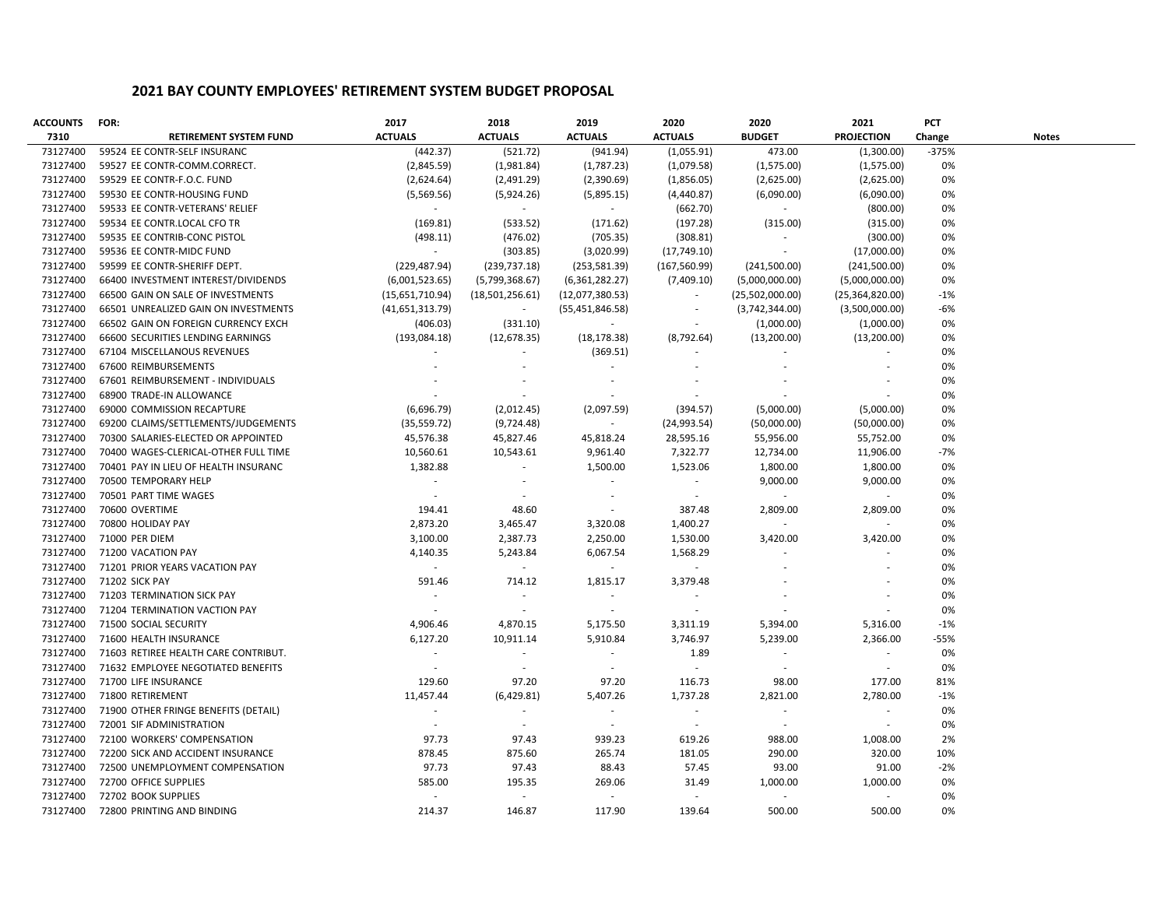| <b>ACCOUNTS</b> | FOR:                                 | 2017            | 2018                     | 2019              | 2020                     | 2020            | 2021              | PCT     |              |
|-----------------|--------------------------------------|-----------------|--------------------------|-------------------|--------------------------|-----------------|-------------------|---------|--------------|
| 7310            | <b>RETIREMENT SYSTEM FUND</b>        | <b>ACTUALS</b>  | <b>ACTUALS</b>           | <b>ACTUALS</b>    | <b>ACTUALS</b>           | <b>BUDGET</b>   | <b>PROJECTION</b> | Change  | <b>Notes</b> |
| 73127400        | 59524 EE CONTR-SELF INSURANC         | (442.37)        | (521.72)                 | (941.94)          | (1,055.91)               | 473.00          | (1,300.00)        | $-375%$ |              |
| 73127400        | 59527 EE CONTR-COMM.CORRECT.         | (2,845.59)      | (1,981.84)               | (1,787.23)        | (1,079.58)               | (1,575.00)      | (1,575.00)        | 0%      |              |
| 73127400        | 59529 EE CONTR-F.O.C. FUND           | (2,624.64)      | (2,491.29)               | (2,390.69)        | (1,856.05)               | (2,625.00)      | (2,625.00)        | 0%      |              |
| 73127400        | 59530 EE CONTR-HOUSING FUND          | (5,569.56)      | (5,924.26)               | (5,895.15)        | (4,440.87)               | (6,090.00)      | (6,090.00)        | 0%      |              |
| 73127400        | 59533 EE CONTR-VETERANS' RELIEF      | $\sim$          | $\sim$                   | $\sim$            | (662.70)                 | $\sim$          | (800.00)          | 0%      |              |
| 73127400        | 59534 EE CONTR.LOCAL CFO TR          | (169.81)        | (533.52)                 | (171.62)          | (197.28)                 | (315.00)        | (315.00)          | 0%      |              |
| 73127400        | 59535 EE CONTRIB-CONC PISTOL         | (498.11)        | (476.02)                 | (705.35)          | (308.81)                 | $\sim$          | (300.00)          | 0%      |              |
| 73127400        | 59536 EE CONTR-MIDC FUND             | $\sim$          | (303.85)                 | (3,020.99)        | (17,749.10)              | $\sim$          | (17,000.00)       | 0%      |              |
| 73127400        | 59599 EE CONTR-SHERIFF DEPT.         | (229, 487.94)   | (239, 737.18)            | (253, 581.39)     | (167, 560.99)            | (241,500.00)    | (241,500.00)      | 0%      |              |
| 73127400        | 66400 INVESTMENT INTEREST/DIVIDENDS  | (6,001,523.65)  | (5,799,368.67)           | (6,361,282.27)    | (7,409.10)               | (5,000,000.00)  | (5,000,000.00)    | 0%      |              |
| 73127400        | 66500 GAIN ON SALE OF INVESTMENTS    | (15,651,710.94) | (18,501,256.61)          | (12,077,380.53)   | $\overline{\phantom{a}}$ | (25,502,000.00) | (25,364,820.00)   | $-1%$   |              |
| 73127400        | 66501 UNREALIZED GAIN ON INVESTMENTS | (41,651,313.79) | $\sim$                   | (55, 451, 846.58) | $\overline{\phantom{a}}$ | (3,742,344.00)  | (3,500,000.00)    | -6%     |              |
| 73127400        | 66502 GAIN ON FOREIGN CURRENCY EXCH  | (406.03)        | (331.10)                 | $\sim$            | $\overline{\phantom{a}}$ | (1,000.00)      | (1,000.00)        | 0%      |              |
| 73127400        | 66600 SECURITIES LENDING EARNINGS    | (193,084.18)    | (12, 678.35)             | (18, 178.38)      | (8,792.64)               | (13,200.00)     | (13,200.00)       | 0%      |              |
| 73127400        | 67104 MISCELLANOUS REVENUES          |                 |                          | (369.51)          |                          |                 |                   | 0%      |              |
| 73127400        | 67600 REIMBURSEMENTS                 |                 |                          | $\sim$            |                          |                 |                   | 0%      |              |
| 73127400        | 67601 REIMBURSEMENT - INDIVIDUALS    |                 |                          |                   |                          |                 |                   | 0%      |              |
| 73127400        | 68900 TRADE-IN ALLOWANCE             |                 |                          |                   |                          |                 |                   | 0%      |              |
| 73127400        | 69000 COMMISSION RECAPTURE           | (6,696.79)      | (2,012.45)               | (2,097.59)        | (394.57)                 | (5,000.00)      | (5,000.00)        | 0%      |              |
| 73127400        | 69200 CLAIMS/SETTLEMENTS/JUDGEMENTS  | (35, 559.72)    | (9,724.48)               | $\sim$            | (24,993.54)              | (50,000.00)     | (50,000.00)       | 0%      |              |
| 73127400        | 70300 SALARIES-ELECTED OR APPOINTED  | 45,576.38       | 45,827.46                | 45,818.24         | 28,595.16                | 55,956.00       | 55,752.00         | 0%      |              |
| 73127400        | 70400 WAGES-CLERICAL-OTHER FULL TIME | 10,560.61       | 10,543.61                | 9,961.40          | 7,322.77                 | 12,734.00       | 11,906.00         | $-7%$   |              |
| 73127400        | 70401 PAY IN LIEU OF HEALTH INSURANC | 1,382.88        | $\sim$                   | 1,500.00          | 1,523.06                 | 1,800.00        | 1,800.00          | 0%      |              |
| 73127400        | 70500 TEMPORARY HELP                 | $\sim$          | $\sim$                   | $\sim$            | $\sim$                   | 9,000.00        | 9,000.00          | 0%      |              |
| 73127400        | 70501 PART TIME WAGES                | $\sim$          | $\sim$                   | $\sim$            | $\sim$                   | $\sim$          | $\sim$            | 0%      |              |
| 73127400        | 70600 OVERTIME                       | 194.41          | 48.60                    | $\sim$            | 387.48                   | 2,809.00        | 2,809.00          | 0%      |              |
| 73127400        | 70800 HOLIDAY PAY                    | 2,873.20        | 3,465.47                 | 3,320.08          | 1,400.27                 | $\sim$          | $\sim$            | 0%      |              |
| 73127400        | 71000 PER DIEM                       | 3,100.00        | 2,387.73                 | 2,250.00          | 1,530.00                 | 3,420.00        | 3,420.00          | 0%      |              |
| 73127400        | 71200 VACATION PAY                   | 4,140.35        | 5,243.84                 | 6,067.54          | 1,568.29                 | $\sim$          | ÷.                | 0%      |              |
| 73127400        | 71201 PRIOR YEARS VACATION PAY       | $\sim$          | $\sim$                   | $\sim$            | $\sim$                   |                 |                   | 0%      |              |
| 73127400        | <b>71202 SICK PAY</b>                | 591.46          | 714.12                   | 1,815.17          | 3,379.48                 |                 |                   | 0%      |              |
| 73127400        | 71203 TERMINATION SICK PAY           |                 | $\overline{\phantom{a}}$ |                   |                          |                 |                   | 0%      |              |
| 73127400        | 71204 TERMINATION VACTION PAY        | $\sim$          | $\sim$                   | $\sim$            | $\sim$                   |                 |                   | 0%      |              |
| 73127400        | 71500 SOCIAL SECURITY                | 4,906.46        | 4,870.15                 | 5,175.50          | 3,311.19                 | 5,394.00        | 5,316.00          | $-1%$   |              |
| 73127400        | 71600 HEALTH INSURANCE               | 6,127.20        | 10,911.14                | 5,910.84          | 3,746.97                 | 5,239.00        | 2,366.00          | $-55%$  |              |
| 73127400        | 71603 RETIREE HEALTH CARE CONTRIBUT. | $\sim$          | $\sim$                   | $\sim$            | 1.89                     | $\sim$          | $\sim$            | 0%      |              |
| 73127400        | 71632 EMPLOYEE NEGOTIATED BENEFITS   | $\sim$          | $\sim$                   | $\sim$            | $\sim$                   | $\sim$          | $\sim$            | 0%      |              |
| 73127400        | 71700 LIFE INSURANCE                 | 129.60          | 97.20                    | 97.20             | 116.73                   | 98.00           | 177.00            | 81%     |              |
| 73127400        | 71800 RETIREMENT                     | 11,457.44       | (6,429.81)               | 5,407.26          | 1,737.28                 | 2,821.00        | 2,780.00          | $-1%$   |              |
| 73127400        | 71900 OTHER FRINGE BENEFITS (DETAIL) | $\sim$          | $\sim$                   | $\sim$            | $\sim$                   | $\sim$          | $\sim$            | 0%      |              |
| 73127400        | 72001 SIF ADMINISTRATION             | $\sim$          | $\sim$                   | $\sim$            | $\sim$                   | $\sim$          | $\sim$            | 0%      |              |
| 73127400        | 72100 WORKERS' COMPENSATION          | 97.73           | 97.43                    | 939.23            | 619.26                   | 988.00          | 1,008.00          | 2%      |              |
| 73127400        | 72200 SICK AND ACCIDENT INSURANCE    | 878.45          | 875.60                   | 265.74            | 181.05                   | 290.00          | 320.00            | 10%     |              |
| 73127400        | 72500 UNEMPLOYMENT COMPENSATION      | 97.73           | 97.43                    | 88.43             | 57.45                    | 93.00           | 91.00             | $-2%$   |              |
| 73127400        | 72700 OFFICE SUPPLIES                | 585.00          | 195.35                   | 269.06            | 31.49                    | 1,000.00        | 1,000.00          | 0%      |              |
| 73127400        | 72702 BOOK SUPPLIES                  | in 1            | $\sim$                   | $\sim$            | $\sim$                   | $\sim$          | $\sim$            | 0%      |              |
| 73127400        | 72800 PRINTING AND BINDING           | 214.37          | 146.87                   | 117.90            | 139.64                   | 500.00          | 500.00            | 0%      |              |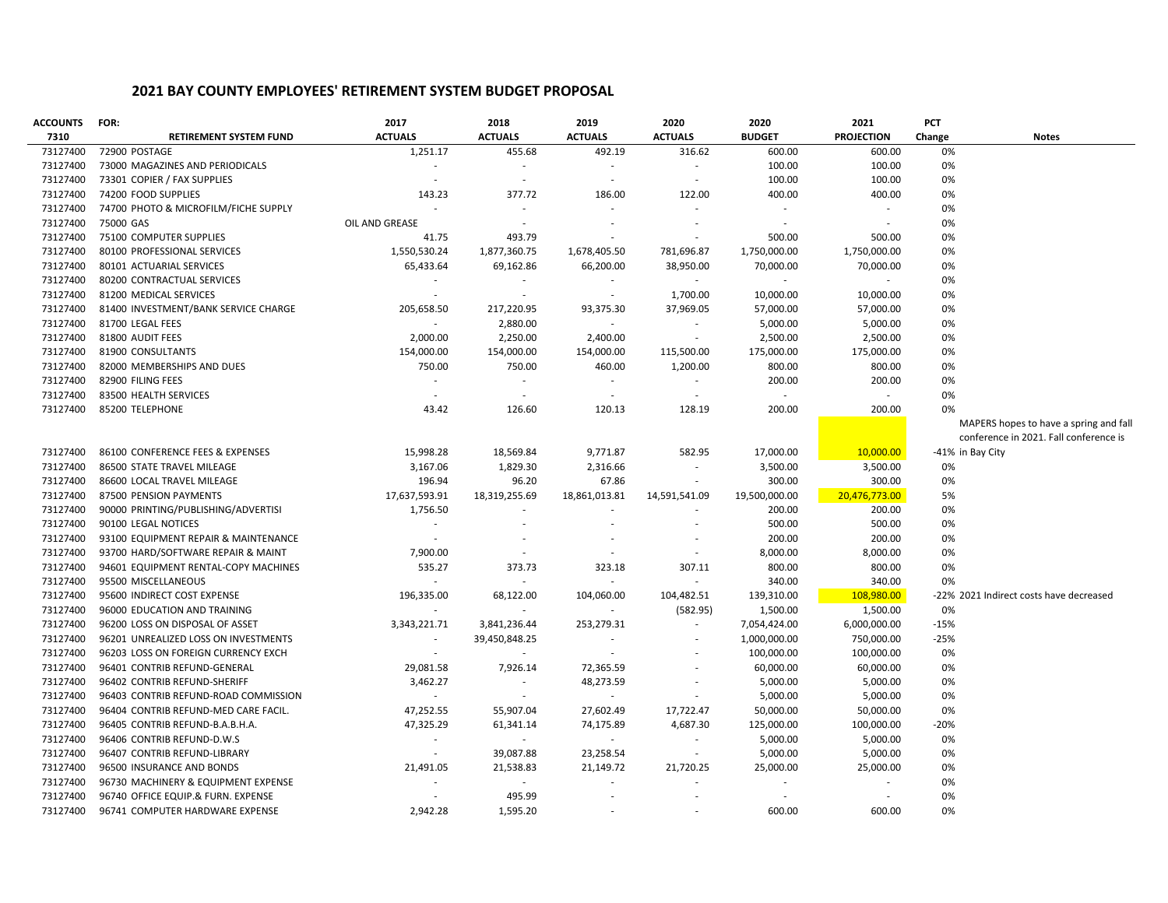| <b>ACCOUNTS</b> | FOR:                                 | 2017           | 2018           | 2019           | 2020                     | 2020                     | 2021              | PCT    |                                         |
|-----------------|--------------------------------------|----------------|----------------|----------------|--------------------------|--------------------------|-------------------|--------|-----------------------------------------|
| 7310            | <b>RETIREMENT SYSTEM FUND</b>        | <b>ACTUALS</b> | <b>ACTUALS</b> | <b>ACTUALS</b> | <b>ACTUALS</b>           | <b>BUDGET</b>            | <b>PROJECTION</b> | Change | <b>Notes</b>                            |
| 73127400        | 72900 POSTAGE                        | 1,251.17       | 455.68         | 492.19         | 316.62                   | 600.00                   | 600.00            | 0%     |                                         |
| 73127400        | 73000 MAGAZINES AND PERIODICALS      |                | $\sim$         |                | $\overline{\phantom{a}}$ | 100.00                   | 100.00            | 0%     |                                         |
| 73127400        | 73301 COPIER / FAX SUPPLIES          | ÷.             | $\sim$         |                | $\sim$                   | 100.00                   | 100.00            | 0%     |                                         |
| 73127400        | 74200 FOOD SUPPLIES                  | 143.23         | 377.72         | 186.00         | 122.00                   | 400.00                   | 400.00            | 0%     |                                         |
| 73127400        | 74700 PHOTO & MICROFILM/FICHE SUPPLY | $\sim$         | ÷.             |                | $\sim$                   | $\sim$                   | ÷.                | 0%     |                                         |
| 73127400        | 75000 GAS                            | OIL AND GREASE | $\sim$         |                | $\overline{\phantom{a}}$ | $\overline{\phantom{a}}$ | $\sim$            | 0%     |                                         |
| 73127400        | 75100 COMPUTER SUPPLIES              | 41.75          | 493.79         |                |                          | 500.00                   | 500.00            | 0%     |                                         |
| 73127400        | 80100 PROFESSIONAL SERVICES          | 1,550,530.24   | 1,877,360.75   | 1,678,405.50   | 781,696.87               | 1,750,000.00             | 1,750,000.00      | 0%     |                                         |
| 73127400        | 80101 ACTUARIAL SERVICES             | 65,433.64      | 69,162.86      | 66,200.00      | 38,950.00                | 70,000.00                | 70,000.00         | 0%     |                                         |
| 73127400        | 80200 CONTRACTUAL SERVICES           |                | $\sim$         |                | $\overline{\phantom{a}}$ | $\overline{\phantom{a}}$ | $\sim$            | 0%     |                                         |
| 73127400        | 81200 MEDICAL SERVICES               | $\sim$         | $\sim$         | $\sim$         | 1,700.00                 | 10,000.00                | 10,000.00         | 0%     |                                         |
| 73127400        | 81400 INVESTMENT/BANK SERVICE CHARGE | 205,658.50     | 217,220.95     | 93,375.30      | 37,969.05                | 57,000.00                | 57,000.00         | 0%     |                                         |
| 73127400        | 81700 LEGAL FEES                     |                | 2,880.00       |                | $\overline{\phantom{a}}$ | 5,000.00                 | 5,000.00          | 0%     |                                         |
| 73127400        | 81800 AUDIT FEES                     | 2,000.00       | 2,250.00       | 2,400.00       | $\sim$                   | 2,500.00                 | 2,500.00          | 0%     |                                         |
| 73127400        | 81900 CONSULTANTS                    | 154,000.00     | 154,000.00     | 154,000.00     | 115,500.00               | 175,000.00               | 175,000.00        | 0%     |                                         |
| 73127400        | 82000 MEMBERSHIPS AND DUES           | 750.00         | 750.00         | 460.00         | 1,200.00                 | 800.00                   | 800.00            | 0%     |                                         |
| 73127400        | 82900 FILING FEES                    | $\sim$         | $\sim$         | $\sim$         | $\overline{\phantom{a}}$ | 200.00                   | 200.00            | 0%     |                                         |
| 73127400        | 83500 HEALTH SERVICES                |                | ÷.             |                | $\sim$                   | $\sim$                   | $\sim$            | 0%     |                                         |
| 73127400        | 85200 TELEPHONE                      | 43.42          | 126.60         | 120.13         | 128.19                   | 200.00                   | 200.00            | 0%     |                                         |
|                 |                                      |                |                |                |                          |                          |                   |        | MAPERS hopes to have a spring and fall  |
|                 |                                      |                |                |                |                          |                          |                   |        | conference in 2021. Fall conference is  |
| 73127400        | 86100 CONFERENCE FEES & EXPENSES     | 15,998.28      | 18,569.84      | 9,771.87       | 582.95                   | 17,000.00                | 10,000.00         |        | -41% in Bay City                        |
| 73127400        | 86500 STATE TRAVEL MILEAGE           | 3,167.06       | 1,829.30       | 2,316.66       | $\overline{\phantom{a}}$ | 3,500.00                 | 3,500.00          | 0%     |                                         |
| 73127400        | 86600 LOCAL TRAVEL MILEAGE           | 196.94         | 96.20          | 67.86          | $\overline{\phantom{a}}$ | 300.00                   | 300.00            | 0%     |                                         |
| 73127400        | 87500 PENSION PAYMENTS               | 17,637,593.91  | 18,319,255.69  | 18,861,013.81  | 14,591,541.09            | 19,500,000.00            | 20,476,773.00     | 5%     |                                         |
| 73127400        | 90000 PRINTING/PUBLISHING/ADVERTISI  | 1,756.50       |                |                |                          | 200.00                   | 200.00            | 0%     |                                         |
| 73127400        | 90100 LEGAL NOTICES                  |                |                |                | $\overline{\phantom{a}}$ | 500.00                   | 500.00            | 0%     |                                         |
| 73127400        | 93100 EQUIPMENT REPAIR & MAINTENANCE |                |                |                |                          | 200.00                   | 200.00            | 0%     |                                         |
| 73127400        | 93700 HARD/SOFTWARE REPAIR & MAINT   | 7,900.00       | $\sim$         |                | $\overline{\phantom{a}}$ | 8,000.00                 | 8,000.00          | 0%     |                                         |
| 73127400        | 94601 EQUIPMENT RENTAL-COPY MACHINES | 535.27         | 373.73         | 323.18         | 307.11                   | 800.00                   | 800.00            | 0%     |                                         |
| 73127400        | 95500 MISCELLANEOUS                  |                |                |                | $\sim$                   | 340.00                   | 340.00            | 0%     |                                         |
| 73127400        | 95600 INDIRECT COST EXPENSE          | 196,335.00     | 68,122.00      | 104,060.00     | 104,482.51               | 139,310.00               | 108,980.00        |        | -22% 2021 Indirect costs have decreased |
| 73127400        | 96000 EDUCATION AND TRAINING         | $\sim$         | $\sim$         | $\sim$         | (582.95)                 | 1,500.00                 | 1,500.00          | 0%     |                                         |
| 73127400        | 96200 LOSS ON DISPOSAL OF ASSET      | 3,343,221.71   | 3,841,236.44   | 253,279.31     | $\sim$                   | 7,054,424.00             | 6,000,000.00      | $-15%$ |                                         |
| 73127400        | 96201 UNREALIZED LOSS ON INVESTMENTS | $\sim$         | 39,450,848.25  | $\sim$         | $\overline{\phantom{a}}$ | 1,000,000.00             | 750,000.00        | $-25%$ |                                         |
| 73127400        | 96203 LOSS ON FOREIGN CURRENCY EXCH  | $\sim$         |                |                | $\overline{\phantom{a}}$ | 100,000.00               | 100,000.00        | 0%     |                                         |
| 73127400        | 96401 CONTRIB REFUND-GENERAL         | 29,081.58      | 7,926.14       | 72,365.59      | $\overline{\phantom{a}}$ | 60,000.00                | 60,000.00         | 0%     |                                         |
| 73127400        | 96402 CONTRIB REFUND-SHERIFF         | 3,462.27       | ÷.             | 48,273.59      | $\sim$                   | 5,000.00                 | 5,000.00          | 0%     |                                         |
| 73127400        | 96403 CONTRIB REFUND-ROAD COMMISSION | ÷              |                | $\sim$         | $\sim$                   | 5,000.00                 | 5,000.00          | 0%     |                                         |
| 73127400        | 96404 CONTRIB REFUND-MED CARE FACIL. | 47,252.55      | 55,907.04      | 27,602.49      | 17,722.47                | 50,000.00                | 50,000.00         | 0%     |                                         |
| 73127400        | 96405 CONTRIB REFUND-B.A.B.H.A.      | 47,325.29      | 61,341.14      | 74,175.89      | 4,687.30                 | 125,000.00               | 100,000.00        | $-20%$ |                                         |
| 73127400        | 96406 CONTRIB REFUND-D.W.S           | $\sim$         | $\sim$         | $\sim$         | $\sim$                   | 5,000.00                 | 5,000.00          | 0%     |                                         |
| 73127400        | 96407 CONTRIB REFUND-LIBRARY         |                | 39,087.88      | 23,258.54      | $\overline{\phantom{a}}$ | 5,000.00                 | 5,000.00          | 0%     |                                         |
| 73127400        | 96500 INSURANCE AND BONDS            | 21,491.05      | 21,538.83      | 21,149.72      | 21,720.25                | 25,000.00                | 25,000.00         | 0%     |                                         |
| 73127400        | 96730 MACHINERY & EQUIPMENT EXPENSE  |                | $\sim$         |                |                          |                          |                   | 0%     |                                         |
| 73127400        | 96740 OFFICE EQUIP.& FURN. EXPENSE   |                | 495.99         |                |                          | $\overline{\phantom{a}}$ |                   | 0%     |                                         |
| 73127400        | 96741 COMPUTER HARDWARE EXPENSE      | 2,942.28       | 1,595.20       |                |                          | 600.00                   | 600.00            | 0%     |                                         |